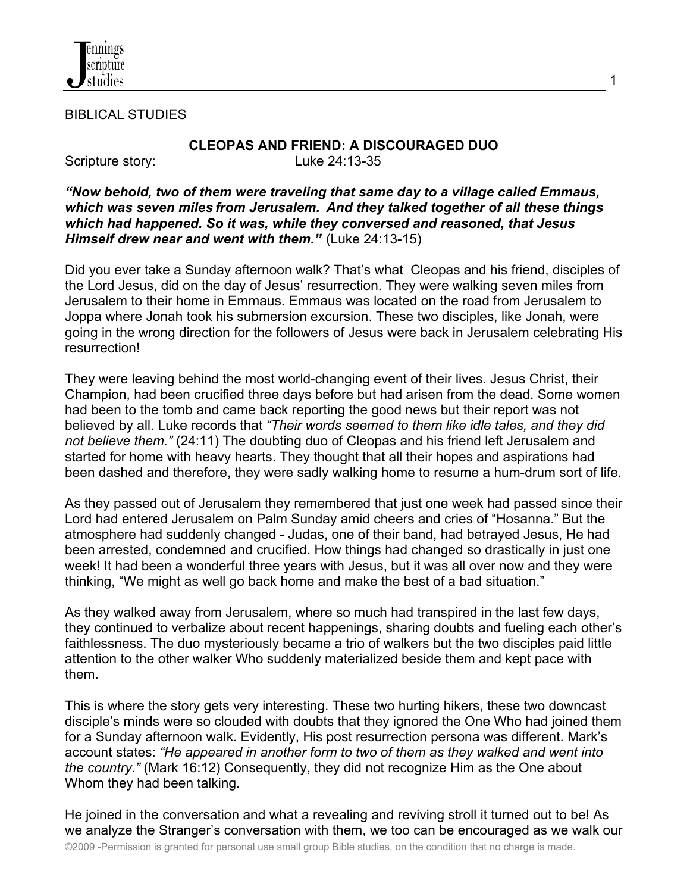

BIBLICAL STUDIES

#### **CLEOPAS AND FRIEND: A DISCOURAGED DUO** Scripture story: Luke 24:13-35

1

### *"Now behold, two of them were traveling that same day to a village called Emmaus, which was seven miles from Jerusalem. And they talked together of all these things which had happened. So it was, while they conversed and reasoned, that Jesus Himself drew near and went with them."* (Luke 24:13-15)

Did you ever take a Sunday afternoon walk? That's what Cleopas and his friend, disciples of the Lord Jesus, did on the day of Jesus' resurrection. They were walking seven miles from Jerusalem to their home in Emmaus. Emmaus was located on the road from Jerusalem to Joppa where Jonah took his submersion excursion. These two disciples, like Jonah, were going in the wrong direction for the followers of Jesus were back in Jerusalem celebrating His resurrection!

They were leaving behind the most world-changing event of their lives. Jesus Christ, their Champion, had been crucified three days before but had arisen from the dead. Some women had been to the tomb and came back reporting the good news but their report was not believed by all. Luke records that *"Their words seemed to them like idle tales, and they did not believe them."* (24:11) The doubting duo of Cleopas and his friend left Jerusalem and started for home with heavy hearts. They thought that all their hopes and aspirations had been dashed and therefore, they were sadly walking home to resume a hum-drum sort of life.

As they passed out of Jerusalem they remembered that just one week had passed since their Lord had entered Jerusalem on Palm Sunday amid cheers and cries of "Hosanna." But the atmosphere had suddenly changed - Judas, one of their band, had betrayed Jesus, He had been arrested, condemned and crucified. How things had changed so drastically in just one week! It had been a wonderful three years with Jesus, but it was all over now and they were thinking, "We might as well go back home and make the best of a bad situation."

As they walked away from Jerusalem, where so much had transpired in the last few days, they continued to verbalize about recent happenings, sharing doubts and fueling each other's faithlessness. The duo mysteriously became a trio of walkers but the two disciples paid little attention to the other walker Who suddenly materialized beside them and kept pace with them.

This is where the story gets very interesting. These two hurting hikers, these two downcast disciple's minds were so clouded with doubts that they ignored the One Who had joined them for a Sunday afternoon walk. Evidently, His post resurrection persona was different. Mark's account states: *"He appeared in another form to two of them as they walked and went into the country."* (Mark 16:12) Consequently, they did not recognize Him as the One about Whom they had been talking.

He joined in the conversation and what a revealing and reviving stroll it turned out to be! As we analyze the Stranger's conversation with them, we too can be encouraged as we walk our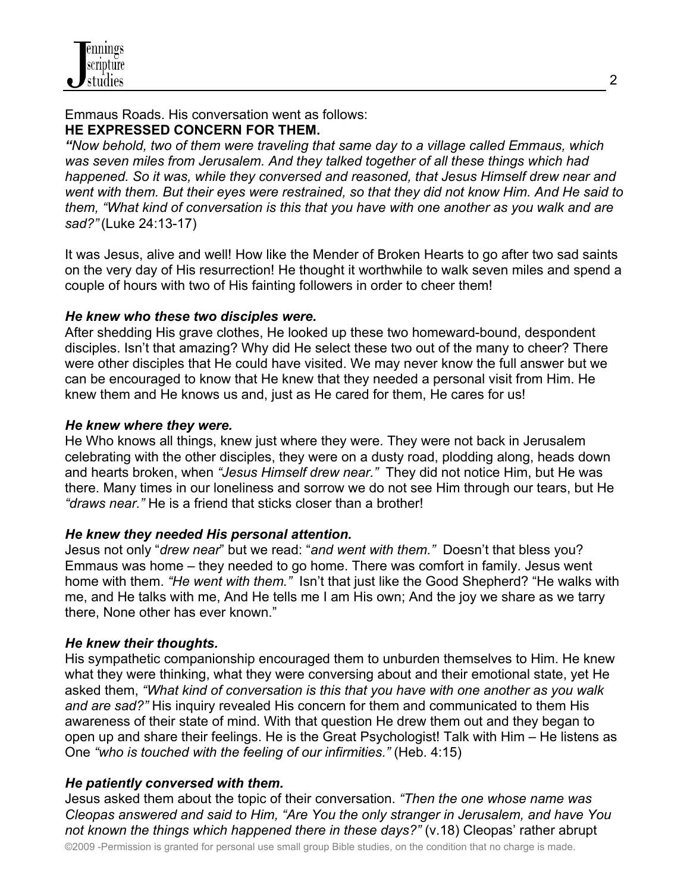# Emmaus Roads. His conversation went as follows: **HE EXPRESSED CONCERN FOR THEM.**

*"Now behold, two of them were traveling that same day to a village called Emmaus, which was seven miles from Jerusalem. And they talked together of all these things which had happened. So it was, while they conversed and reasoned, that Jesus Himself drew near and went with them. But their eyes were restrained, so that they did not know Him. And He said to them, "What kind of conversation is this that you have with one another as you walk and are sad?"* (Luke 24:13-17)

It was Jesus, alive and well! How like the Mender of Broken Hearts to go after two sad saints on the very day of His resurrection! He thought it worthwhile to walk seven miles and spend a couple of hours with two of His fainting followers in order to cheer them!

## *He knew who these two disciples were.*

After shedding His grave clothes, He looked up these two homeward-bound, despondent disciples. Isn't that amazing? Why did He select these two out of the many to cheer? There were other disciples that He could have visited. We may never know the full answer but we can be encouraged to know that He knew that they needed a personal visit from Him. He knew them and He knows us and, just as He cared for them, He cares for us!

## *He knew where they were.*

He Who knows all things, knew just where they were. They were not back in Jerusalem celebrating with the other disciples, they were on a dusty road, plodding along, heads down and hearts broken, when *"Jesus Himself drew near."* They did not notice Him, but He was there. Many times in our loneliness and sorrow we do not see Him through our tears, but He *"draws near."* He is a friend that sticks closer than a brother!

# *He knew they needed His personal attention.*

Jesus not only "*drew near*" but we read: "*and went with them."* Doesn't that bless you? Emmaus was home – they needed to go home. There was comfort in family. Jesus went home with them. *"He went with them."* Isn't that just like the Good Shepherd? "He walks with me, and He talks with me, And He tells me I am His own; And the joy we share as we tarry there, None other has ever known."

## *He knew their thoughts.*

His sympathetic companionship encouraged them to unburden themselves to Him. He knew what they were thinking, what they were conversing about and their emotional state, yet He asked them, *"What kind of conversation is this that you have with one another as you walk and are sad?"* His inquiry revealed His concern for them and communicated to them His awareness of their state of mind. With that question He drew them out and they began to open up and share their feelings. He is the Great Psychologist! Talk with Him – He listens as One *"who is touched with the feeling of our infirmities."* (Heb. 4:15)

## *He patiently conversed with them.*

Jesus asked them about the topic of their conversation. *"Then the one whose name was Cleopas answered and said to Him, "Are You the only stranger in Jerusalem, and have You not known the things which happened there in these days?"* (v.18) Cleopas' rather abrupt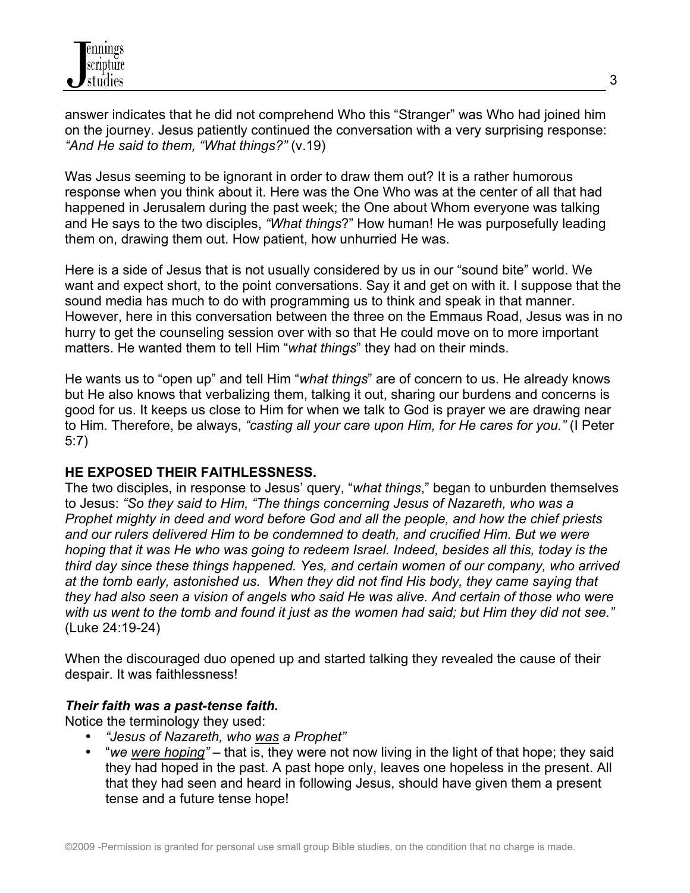answer indicates that he did not comprehend Who this "Stranger" was Who had joined him on the journey. Jesus patiently continued the conversation with a very surprising response: *"And He said to them, "What things?"* (v.19)

Was Jesus seeming to be ignorant in order to draw them out? It is a rather humorous response when you think about it. Here was the One Who was at the center of all that had happened in Jerusalem during the past week; the One about Whom everyone was talking and He says to the two disciples, *"What things*?" How human! He was purposefully leading them on, drawing them out. How patient, how unhurried He was.

Here is a side of Jesus that is not usually considered by us in our "sound bite" world. We want and expect short, to the point conversations. Say it and get on with it. I suppose that the sound media has much to do with programming us to think and speak in that manner. However, here in this conversation between the three on the Emmaus Road, Jesus was in no hurry to get the counseling session over with so that He could move on to more important matters. He wanted them to tell Him "*what things*" they had on their minds.

He wants us to "open up" and tell Him "*what things*" are of concern to us. He already knows but He also knows that verbalizing them, talking it out, sharing our burdens and concerns is good for us. It keeps us close to Him for when we talk to God is prayer we are drawing near to Him. Therefore, be always, *"casting all your care upon Him, for He cares for you."* (I Peter 5:7)

# **HE EXPOSED THEIR FAITHLESSNESS.**

The two disciples, in response to Jesus' query, "*what things*," began to unburden themselves to Jesus: *"So they said to Him, "The things concerning Jesus of Nazareth, who was a Prophet mighty in deed and word before God and all the people, and how the chief priests and our rulers delivered Him to be condemned to death, and crucified Him. But we were hoping that it was He who was going to redeem Israel. Indeed, besides all this, today is the third day since these things happened. Yes, and certain women of our company, who arrived at the tomb early, astonished us. When they did not find His body, they came saying that they had also seen a vision of angels who said He was alive. And certain of those who were with us went to the tomb and found it just as the women had said; but Him they did not see."* (Luke 24:19-24)

When the discouraged duo opened up and started talking they revealed the cause of their despair. It was faithlessness!

# *Their faith was a past-tense faith.*

Notice the terminology they used:

- *"Jesus of Nazareth, who was a Prophet"*
- "*we were hoping" –* that is, they were not now living in the light of that hope; they said they had hoped in the past. A past hope only, leaves one hopeless in the present. All that they had seen and heard in following Jesus, should have given them a present tense and a future tense hope!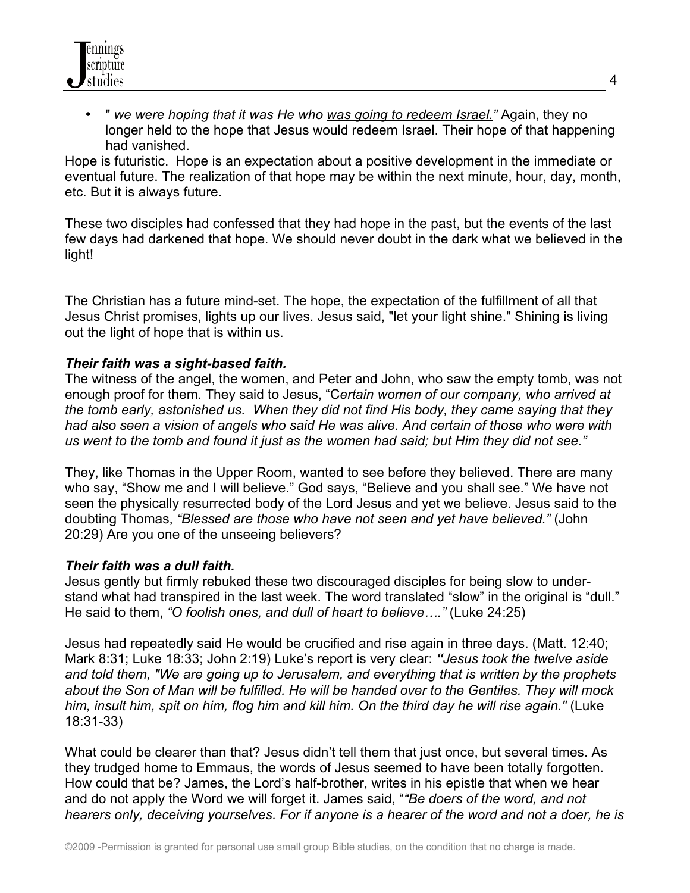

• " *we were hoping that it was He who was going to redeem Israel."* Again, they no longer held to the hope that Jesus would redeem Israel. Their hope of that happening had vanished.

Hope is futuristic. Hope is an expectation about a positive development in the immediate or eventual future. The realization of that hope may be within the next minute, hour, day, month, etc. But it is always future.

These two disciples had confessed that they had hope in the past, but the events of the last few days had darkened that hope. We should never doubt in the dark what we believed in the light!

The Christian has a future mind-set. The hope, the expectation of the fulfillment of all that Jesus Christ promises, lights up our lives. Jesus said, "let your light shine." Shining is living out the light of hope that is within us.

### *Their faith was a sight-based faith.*

The witness of the angel, the women, and Peter and John, who saw the empty tomb, was not enough proof for them. They said to Jesus, "C*ertain women of our company, who arrived at the tomb early, astonished us. When they did not find His body, they came saying that they had also seen a vision of angels who said He was alive. And certain of those who were with us went to the tomb and found it just as the women had said; but Him they did not see."*

They, like Thomas in the Upper Room, wanted to see before they believed. There are many who say, "Show me and I will believe." God says, "Believe and you shall see." We have not seen the physically resurrected body of the Lord Jesus and yet we believe. Jesus said to the doubting Thomas, *"Blessed are those who have not seen and yet have believed."* (John 20:29) Are you one of the unseeing believers?

#### *Their faith was a dull faith.*

Jesus gently but firmly rebuked these two discouraged disciples for being slow to understand what had transpired in the last week. The word translated "slow" in the original is "dull." He said to them, *"O foolish ones, and dull of heart to believe…."* (Luke 24:25)

Jesus had repeatedly said He would be crucified and rise again in three days. (Matt. 12:40; Mark 8:31; Luke 18:33; John 2:19) Luke's report is very clear: *"Jesus took the twelve aside and told them, "We are going up to Jerusalem, and everything that is written by the prophets about the Son of Man will be fulfilled. He will be handed over to the Gentiles. They will mock him, insult him, spit on him, flog him and kill him. On the third day he will rise again."* (Luke 18:31-33)

What could be clearer than that? Jesus didn't tell them that just once, but several times. As they trudged home to Emmaus, the words of Jesus seemed to have been totally forgotten. How could that be? James, the Lord's half-brother, writes in his epistle that when we hear and do not apply the Word we will forget it. James said, "*"Be doers of the word, and not hearers only, deceiving yourselves. For if anyone is a hearer of the word and not a doer, he is*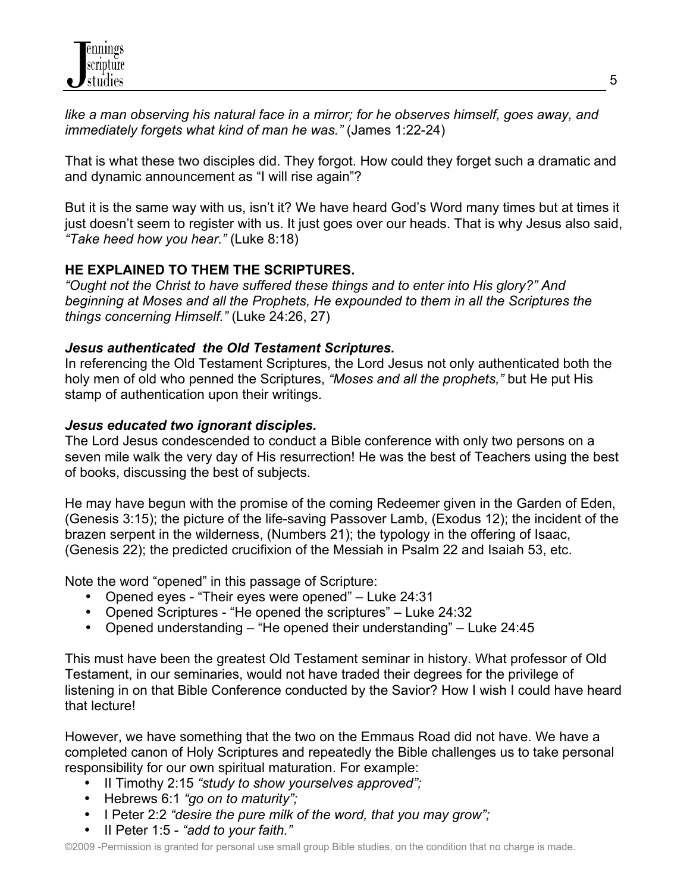*like a man observing his natural face in a mirror; for he observes himself, goes away, and immediately forgets what kind of man he was."* (James 1:22-24)

That is what these two disciples did. They forgot. How could they forget such a dramatic and and dynamic announcement as "I will rise again"?

But it is the same way with us, isn't it? We have heard God's Word many times but at times it just doesn't seem to register with us. It just goes over our heads. That is why Jesus also said, *"Take heed how you hear."* (Luke 8:18)

# **HE EXPLAINED TO THEM THE SCRIPTURES.**

*"Ought not the Christ to have suffered these things and to enter into His glory?" And beginning at Moses and all the Prophets, He expounded to them in all the Scriptures the things concerning Himself."* (Luke 24:26, 27)

# *Jesus authenticated the Old Testament Scriptures.*

In referencing the Old Testament Scriptures, the Lord Jesus not only authenticated both the holy men of old who penned the Scriptures, *"Moses and all the prophets,"* but He put His stamp of authentication upon their writings.

# *Jesus educated two ignorant disciples.*

The Lord Jesus condescended to conduct a Bible conference with only two persons on a seven mile walk the very day of His resurrection! He was the best of Teachers using the best of books, discussing the best of subjects.

He may have begun with the promise of the coming Redeemer given in the Garden of Eden, (Genesis 3:15); the picture of the life-saving Passover Lamb, (Exodus 12); the incident of the brazen serpent in the wilderness, (Numbers 21); the typology in the offering of Isaac, (Genesis 22); the predicted crucifixion of the Messiah in Psalm 22 and Isaiah 53, etc.

Note the word "opened" in this passage of Scripture:

- Opened eyes "Their eyes were opened" Luke 24:31
- Opened Scriptures "He opened the scriptures" Luke 24:32
- Opened understanding "He opened their understanding" Luke 24:45

This must have been the greatest Old Testament seminar in history. What professor of Old Testament, in our seminaries, would not have traded their degrees for the privilege of listening in on that Bible Conference conducted by the Savior? How I wish I could have heard that lecture!

However, we have something that the two on the Emmaus Road did not have. We have a completed canon of Holy Scriptures and repeatedly the Bible challenges us to take personal responsibility for our own spiritual maturation. For example:

- II Timothy 2:15 *"study to show yourselves approved";*
- Hebrews 6:1 *"go on to maturity";*
- I Peter 2:2 *"desire the pure milk of the word, that you may grow";*
- II Peter 1:5 *"add to your faith."*

©2009 -Permission is granted for personal use small group Bible studies, on the condition that no charge is made.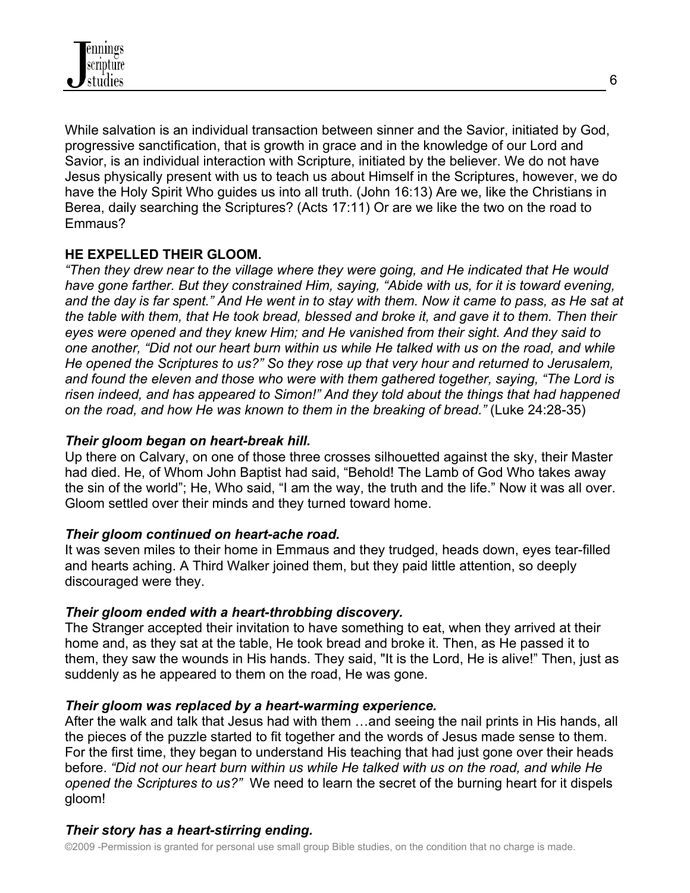

While salvation is an individual transaction between sinner and the Savior, initiated by God, progressive sanctification, that is growth in grace and in the knowledge of our Lord and Savior, is an individual interaction with Scripture, initiated by the believer. We do not have Jesus physically present with us to teach us about Himself in the Scriptures, however, we do have the Holy Spirit Who guides us into all truth. (John 16:13) Are we, like the Christians in Berea, daily searching the Scriptures? (Acts 17:11) Or are we like the two on the road to Emmaus?

## **HE EXPELLED THEIR GLOOM.**

*"Then they drew near to the village where they were going, and He indicated that He would have gone farther. But they constrained Him, saying, "Abide with us, for it is toward evening, and the day is far spent." And He went in to stay with them. Now it came to pass, as He sat at the table with them, that He took bread, blessed and broke it, and gave it to them. Then their eyes were opened and they knew Him; and He vanished from their sight. And they said to one another, "Did not our heart burn within us while He talked with us on the road, and while He opened the Scriptures to us?" So they rose up that very hour and returned to Jerusalem, and found the eleven and those who were with them gathered together, saying, "The Lord is risen indeed, and has appeared to Simon!" And they told about the things that had happened on the road, and how He was known to them in the breaking of bread."* (Luke 24:28-35)

## *Their gloom began on heart-break hill.*

Up there on Calvary, on one of those three crosses silhouetted against the sky, their Master had died. He, of Whom John Baptist had said, "Behold! The Lamb of God Who takes away the sin of the world"; He, Who said, "I am the way, the truth and the life." Now it was all over. Gloom settled over their minds and they turned toward home.

## *Their gloom continued on heart-ache road.*

It was seven miles to their home in Emmaus and they trudged, heads down, eyes tear-filled and hearts aching. A Third Walker joined them, but they paid little attention, so deeply discouraged were they.

## *Their gloom ended with a heart-throbbing discovery.*

The Stranger accepted their invitation to have something to eat, when they arrived at their home and, as they sat at the table, He took bread and broke it. Then, as He passed it to them, they saw the wounds in His hands. They said, "It is the Lord, He is alive!" Then, just as suddenly as he appeared to them on the road, He was gone.

#### *Their gloom was replaced by a heart-warming experience.*

After the walk and talk that Jesus had with them …and seeing the nail prints in His hands, all the pieces of the puzzle started to fit together and the words of Jesus made sense to them. For the first time, they began to understand His teaching that had just gone over their heads before. *"Did not our heart burn within us while He talked with us on the road, and while He opened the Scriptures to us?"* We need to learn the secret of the burning heart for it dispels gloom!

# *Their story has a heart-stirring ending.*